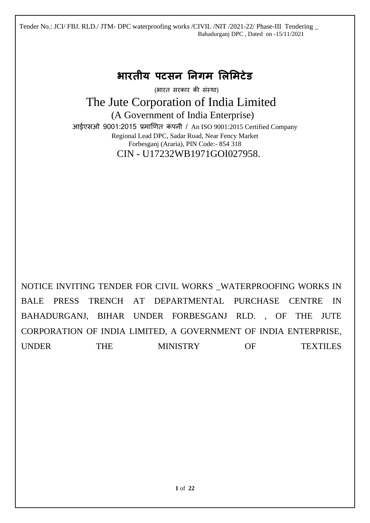# **भारतीय पटसन ननगम लिलमटेड**

(भारत सरकार की संस्था)

# The Jute Corporation of India Limited

(A Government of India Enterprise)

आईएसओ 9001:2015 प्रमाणित कंपनी / An ISO 9001:2015 Certified Company Regional Lead DPC, Sadar Road, Near Fency Market Forbesganj (Araria), PIN Code:- 854 318 CIN - U17232WB1971GOI027958.

NOTICE INVITING TENDER FOR CIVIL WORKS \_WATERPROOFING WORKS IN BALE PRESS TRENCH AT DEPARTMENTAL PURCHASE CENTRE IN BAHADURGANJ, BIHAR UNDER FORBESGANJ RLD. , OF THE JUTE CORPORATION OF INDIA LIMITED, A GOVERNMENT OF INDIA ENTERPRISE, UNDER THE MINISTRY OF TEXTILES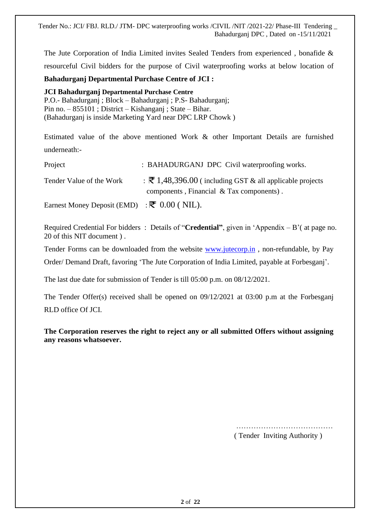The Jute Corporation of India Limited invites Sealed Tenders from experienced , bonafide & resourceful Civil bidders for the purpose of Civil waterproofing works at below location of

### **Bahadurganj Departmental Purchase Centre of JCI :**

**JCI Bahadurganj Departmental Purchase Centre**  P.O.- Bahadurganj ; Block – Bahadurganj ; P.S- Bahadurganj; Pin no. – 855101 ; District – Kishanganj ; State – Bihar. (Bahadurganj is inside Marketing Yard near DPC LRP Chowk )

Estimated value of the above mentioned Work & other Important Details are furnished underneath:-

| Project                                                       | : BAHADURGANJ DPC Civil waterproofing works.                                                                           |
|---------------------------------------------------------------|------------------------------------------------------------------------------------------------------------------------|
| Tender Value of the Work                                      | $\therefore$ <b>₹</b> 1,48,396.00 (including GST & all applicable projects<br>components, Financial & Tax components). |
| Earnest Money Deposit (EMD) : $\vec{\mathcal{R}}$ 0.00 (NIL). |                                                                                                                        |

Required Credential For bidders : Details of "**Credential"**, given in 'Appendix – B'( at page no. 20 of this NIT document ) .

Tender Forms can be downloaded from the website [www.jutecorp.in](http://www.jutecorp.in/) , non-refundable, by Pay

Order/ Demand Draft, favoring 'The Jute Corporation of India Limited, payable at Forbesganj'.

The last due date for submission of Tender is till 05:00 p.m. on 08/12/2021.

The Tender Offer(s) received shall be opened on 09/12/2021 at 03:00 p.m at the Forbesganj RLD office Of JCI.

**The Corporation reserves the right to reject any or all submitted Offers without assigning any reasons whatsoever.**

> ………………………………… ( Tender Inviting Authority )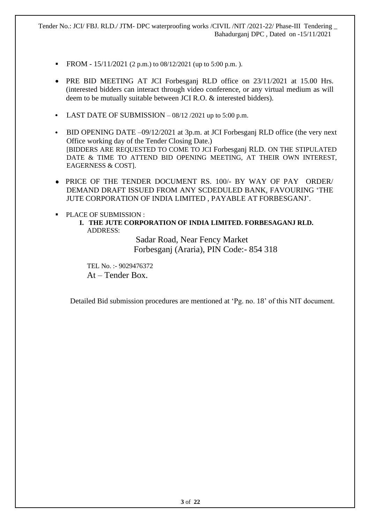- **•** FROM  $15/11/2021$  (2 p.m.) to  $08/12/2021$  (up to 5:00 p.m.).
- PRE BID MEETING AT JCI Forbesganj RLD office on 23/11/2021 at 15.00 Hrs. (interested bidders can interact through video conference, or any virtual medium as will deem to be mutually suitable between JCI R.O. & interested bidders).
- LAST DATE OF SUBMISSION  $-08/12/2021$  up to 5:00 p.m.
- BID OPENING DATE –09/12/2021 at 3p.m. at JCI Forbesganj RLD office (the very next Office working day of the Tender Closing Date.) [BIDDERS ARE REQUESTED TO COME TO JCI Forbesganj RLD. ON THE STIPULATED DATE & TIME TO ATTEND BID OPENING MEETING, AT THEIR OWN INTEREST, EAGERNESS & COST].
- PRICE OF THE TENDER DOCUMENT RS. 100/- BY WAY OF PAY ORDER/ DEMAND DRAFT ISSUED FROM ANY SCDEDULED BANK, FAVOURING 'THE JUTE CORPORATION OF INDIA LIMITED , PAYABLE AT FORBESGANJ'.

### ■ PLACE OF SUBMISSION :

**I. THE JUTE CORPORATION OF INDIA LIMITED. FORBESAGANJ RLD.**  ADDRESS:

> Sadar Road, Near Fency Market Forbesganj (Araria), PIN Code:- 854 318

 TEL No. :- 9029476372 At – Tender Box.

Detailed Bid submission procedures are mentioned at 'Pg. no. 18' of this NIT document.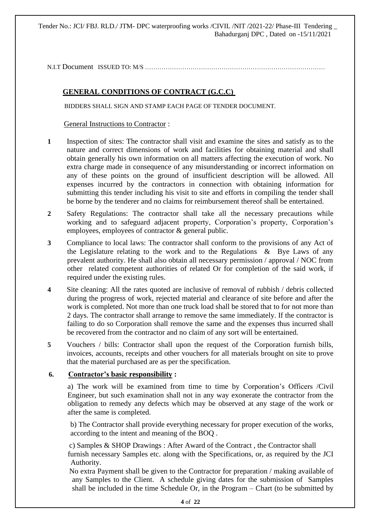N.I.T Document ISSUED TO: M/S ..............

### **GENERAL CONDITIONS OF CONTRACT (G.C.C)**

BIDDERS SHALL SIGN AND STAMP EACH PAGE OF TENDER DOCUMENT.

General Instructions to Contractor :

- **1** Inspection of sites: The contractor shall visit and examine the sites and satisfy as to the nature and correct dimensions of work and facilities for obtaining material and shall obtain generally his own information on all matters affecting the execution of work. No extra charge made in consequence of any misunderstanding or incorrect information on any of these points on the ground of insufficient description will be allowed. All expenses incurred by the contractors in connection with obtaining information for submitting this tender including his visit to site and efforts in compiling the tender shall be borne by the tenderer and no claims for reimbursement thereof shall be entertained.
- **2** Safety Regulations: The contractor shall take all the necessary precautions while working and to safeguard adjacent property, Corporation's property, Corporation's employees, employees of contractor & general public.
- **3** Compliance to local laws: The contractor shall conform to the provisions of any Act of the Legislature relating to the work and to the Regulations  $\&$  Bye Laws of any prevalent authority. He shall also obtain all necessary permission / approval / NOC from other related competent authorities of related Or for completion of the said work, if required under the existing rules.
- **4** Site cleaning: All the rates quoted are inclusive of removal of rubbish / debris collected during the progress of work, rejected material and clearance of site before and after the work is completed. Not more than one truck load shall be stored that to for not more than 2 days. The contractor shall arrange to remove the same immediately. If the contractor is failing to do so Corporation shall remove the same and the expenses thus incurred shall be recovered from the contractor and no claim of any sort will be entertained.
- **5** Vouchers / bills: Contractor shall upon the request of the Corporation furnish bills, invoices, accounts, receipts and other vouchers for all materials brought on site to prove that the material purchased are as per the specification.

### **6. Contractor's basic responsibility :**

a) The work will be examined from time to time by Corporation's Officers /Civil Engineer, but such examination shall not in any way exonerate the contractor from the obligation to remedy any defects which may be observed at any stage of the work or after the same is completed.

b) The Contractor shall provide everything necessary for proper execution of the works, according to the intent and meaning of the BOQ .

 c) Samples & SHOP Drawings : After Award of the Contract , the Contractor shall furnish necessary Samples etc. along with the Specifications, or, as required by the JCI Authority.

 No extra Payment shall be given to the Contractor for preparation / making available of any Samples to the Client. A schedule giving dates for the submission of Samples shall be included in the time Schedule Or, in the Program – Chart (to be submitted by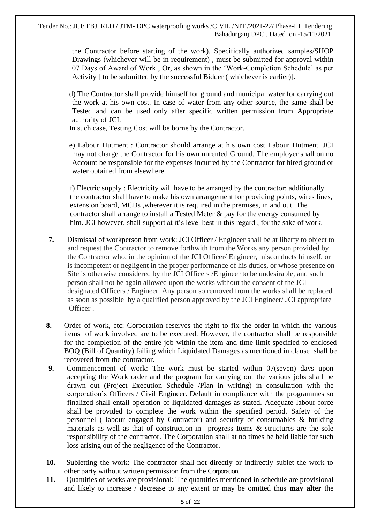> the Contractor before starting of the work). Specifically authorized samples/SHOP Drawings (whichever will be in requirement) , must be submitted for approval within 07 Days of Award of Work , Or, as shown in the 'Work-Completion Schedule' as per Activity [ to be submitted by the successful Bidder ( whichever is earlier)].

> d) The Contractor shall provide himself for ground and municipal water for carrying out the work at his own cost. In case of water from any other source, the same shall be Tested and can be used only after specific written permission from Appropriate authority of JCI.

In such case, Testing Cost will be borne by the Contractor.

 e) Labour Hutment : Contractor should arrange at his own cost Labour Hutment. JCI may not charge the Contractor for his own unrented Ground. The employer shall on no Account be responsible for the expenses incurred by the Contractor for hired ground or water obtained from elsewhere.

 f) Electric supply : Electricity will have to be arranged by the contractor; additionally the contractor shall have to make his own arrangement for providing points, wires lines, extension board, MCBs ,wherever it is required in the premises, in and out. The contractor shall arrange to install a Tested Meter & pay for the energy consumed by him. JCI however, shall support at it's level best in this regard , for the sake of work.

- **7.** Dismissal of workperson from work: JCI Officer / Engineer shall be at liberty to object to and request the Contractor to remove forthwith from the Works any person provided by the Contractor who, in the opinion of the JCI Officer/ Engineer, misconducts himself, or is incompetent or negligent in the proper performance of his duties, or whose presence on Site is otherwise considered by the JCI Officers /Engineer to be undesirable, and such person shall not be again allowed upon the works without the consent of the JCI designated Officers / Engineer. Any person so removed from the works shall be replaced as soon as possible by a qualified person approved by the JCI Engineer/ JCI appropriate Officer .
- **8.** Order of work, etc: Corporation reserves the right to fix the order in which the various items of work involved are to be executed. However, the contractor shall be responsible for the completion of the entire job within the item and time limit specified to enclosed BOQ (Bill of Quantity) failing which Liquidated Damages as mentioned in clause shall be recovered from the contractor.
- **9.** Commencement of work: The work must be started within 07(seven) days upon accepting the Work order and the program for carrying out the various jobs shall be drawn out (Project Execution Schedule /Plan in writing) in consultation with the corporation's Officers / Civil Engineer. Default in compliance with the programmes so finalized shall entail operation of liquidated damages as stated. Adequate labour force shall be provided to complete the work within the specified period. Safety of the personnel ( labour engaged by Contractor) and security of consumables & building materials as well as that of construction-in –progress Items & structures are the sole responsibility of the contractor. The Corporation shall at no times be held liable for such loss arising out of the negligence of the Contractor.
- **10.** Subletting the work: The contractor shall not directly or indirectly sublet the work to other party without written permission from the Corporation.
- **11.** Quantities of works are provisional: The quantities mentioned in schedule are provisional and likely to increase / decrease to any extent or may be omitted thus **may alter** the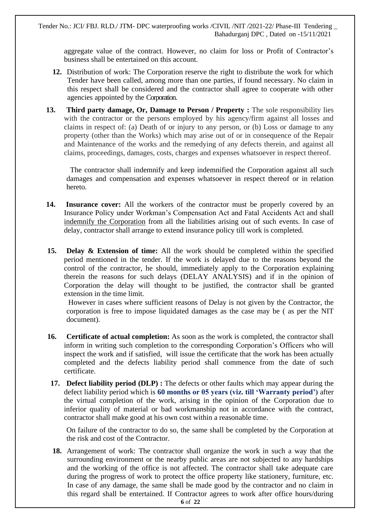aggregate value of the contract. However, no claim for loss or Profit of Contractor's business shall be entertained on this account.

- **12.** Distribution of work: The Corporation reserve the right to distribute the work for which Tender have been called, among more than one parties, if found necessary. No claim in this respect shall be considered and the contractor shall agree to cooperate with other agencies appointed by the Corporation.
- **13. Third party damage, Or, Damage to Person / Property :** The sole responsibility lies with the contractor or the persons employed by his agency/firm against all losses and claims in respect of: (a) Death of or injury to any person, or (b) Loss or damage to any property (other than the Works) which may arise out of or in consequence of the Repair and Maintenance of the works and the remedying of any defects therein, and against all claims, proceedings, damages, costs, charges and expenses whatsoever in respect thereof.

 The contractor shall indemnify and keep indemnified the Corporation against all such damages and compensation and expenses whatsoever in respect thereof or in relation hereto.

- **14. Insurance cover:** All the workers of the contractor must be properly covered by an Insurance Policy under Workman's Compensation Act and Fatal Accidents Act and shall indemnify the Corporation from all the liabilities arising out of such events. In case of delay, contractor shall arrange to extend insurance policy till work is completed.
- **15. Delay & Extension of time:** All the work should be completed within the specified period mentioned in the tender. If the work is delayed due to the reasons beyond the control of the contractor, he should, immediately apply to the Corporation explaining therein the reasons for such delays (DELAY ANALYSIS) and if in the opinion of Corporation the delay will thought to be justified, the contractor shall be granted extension in the time limit.

However in cases where sufficient reasons of Delay is not given by the Contractor, the corporation is free to impose liquidated damages as the case may be ( as per the NIT document).

- **16. Certificate of actual completion:** As soon as the work is completed, the contractor shall inform in writing such completion to the corresponding Corporation's Officers who will inspect the work and if satisfied, will issue the certificate that the work has been actually completed and the defects liability period shall commence from the date of such certificate.
- **17. Defect liability period (DLP) :** The defects or other faults which may appear during the defect liability period which is **60 months or 05 years (viz. till 'Warranty period')** after the virtual completion of the work, arising in the opinion of the Corporation due to inferior quality of material or bad workmanship not in accordance with the contract, contractor shall make good at his own cost within a reasonable time.

On failure of the contractor to do so, the same shall be completed by the Corporation at the risk and cost of the Contractor.

**18.** Arrangement of work: The contractor shall organize the work in such a way that the surrounding environment or the nearby public areas are not subjected to any hardships and the working of the office is not affected. The contractor shall take adequate care during the progress of work to protect the office property like stationery, furniture, etc. In case of any damage, the same shall be made good by the contractor and no claim in this regard shall be entertained. If Contractor agrees to work after office hours/during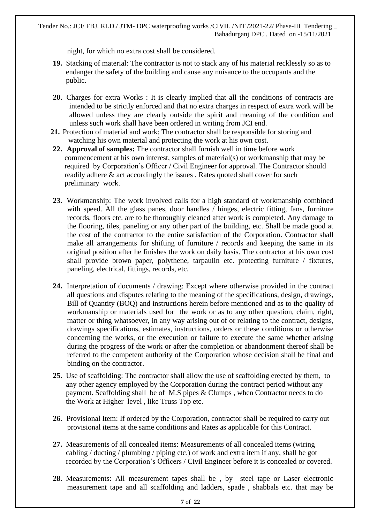night, for which no extra cost shall be considered.

- **19.** Stacking of material: The contractor is not to stack any of his material recklessly so as to endanger the safety of the building and cause any nuisance to the occupants and the public.
- **20.** Charges for extra Works : It is clearly implied that all the conditions of contracts are intended to be strictly enforced and that no extra charges in respect of extra work will be allowed unless they are clearly outside the spirit and meaning of the condition and unless such work shall have been ordered in writing from JCI end.
- **21.** Protection of material and work: The contractor shall be responsible for storing and watching his own material and protecting the work at his own cost.
- **22. Approval of samples:** The contractor shall furnish well in time before work commencement at his own interest, samples of material(s) or workmanship that may be required by Corporation's Officer / Civil Engineer for approval. The Contractor should readily adhere & act accordingly the issues . Rates quoted shall cover for such preliminary work.
- **23.** Workmanship: The work involved calls for a high standard of workmanship combined with speed. All the glass panes, door handles / hinges, electric fitting, fans, furniture records, floors etc. are to be thoroughly cleaned after work is completed. Any damage to the flooring, tiles, paneling or any other part of the building, etc. Shall be made good at the cost of the contractor to the entire satisfaction of the Corporation. Contractor shall make all arrangements for shifting of furniture / records and keeping the same in its original position after he finishes the work on daily basis. The contractor at his own cost shall provide brown paper, polythene, tarpaulin etc. protecting furniture / fixtures, paneling, electrical, fittings, records, etc.
- **24.** Interpretation of documents / drawing: Except where otherwise provided in the contract all questions and disputes relating to the meaning of the specifications, design, drawings, Bill of Quantity (BOQ) and instructions herein before mentioned and as to the quality of workmanship or materials used for the work or as to any other question, claim, right, matter or thing whatsoever, in any way arising out of or relating to the contract, designs, drawings specifications, estimates, instructions, orders or these conditions or otherwise concerning the works, or the execution or failure to execute the same whether arising during the progress of the work or after the completion or abandonment thereof shall be referred to the competent authority of the Corporation whose decision shall be final and binding on the contractor.
- **25.** Use of scaffolding: The contractor shall allow the use of scaffolding erected by them, to any other agency employed by the Corporation during the contract period without any payment. Scaffolding shall be of M.S pipes & Clumps , when Contractor needs to do the Work at Higher level , like Truss Top etc.
- **26.** Provisional Item: If ordered by the Corporation, contractor shall be required to carry out provisional items at the same conditions and Rates as applicable for this Contract.
- **27.** Measurements of all concealed items: Measurements of all concealed items (wiring cabling / ducting / plumbing / piping etc.) of work and extra item if any, shall be got recorded by the Corporation's Officers / Civil Engineer before it is concealed or covered.
- **28.** Measurements: All measurement tapes shall be , by steel tape or Laser electronic measurement tape and all scaffolding and ladders, spade , shabbals etc. that may be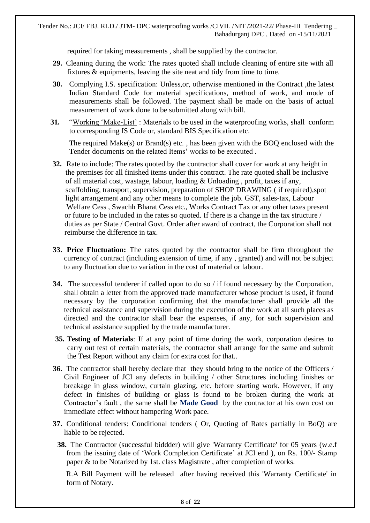required for taking measurements , shall be supplied by the contractor.

- **29.** Cleaning during the work: The rates quoted shall include cleaning of entire site with all fixtures & equipments, leaving the site neat and tidy from time to time.
- **30.** Complying I.S. specification: Unless,or, otherwise mentioned in the Contract ,the latest Indian Standard Code for material specifications, method of work, and mode of measurements shall be followed. The payment shall be made on the basis of actual measurement of work done to be submitted along with bill.
- **31.** "Working 'Make-List' : Materials to be used in the waterproofing works, shall conform to corresponding IS Code or, standard BIS Specification etc.

The required Make(s) or Brand(s) etc. , has been given with the BOQ enclosed with the Tender documents on the related Items' works to be executed .

- **32.** Rate to include: The rates quoted by the contractor shall cover for work at any height in the premises for all finished items under this contract. The rate quoted shall be inclusive of all material cost, wastage, labour, loading & Unloading , profit, taxes if any, scaffolding, transport, supervision, preparation of SHOP DRAWING ( if required),spot light arrangement and any other means to complete the job. GST, sales-tax, Labour Welfare Cess , Swachh Bharat Cess etc., Works Contract Tax or any other taxes present or future to be included in the rates so quoted. If there is a change in the tax structure / duties as per State / Central Govt. Order after award of contract, the Corporation shall not reimburse the difference in tax.
- **33. Price Fluctuation:** The rates quoted by the contractor shall be firm throughout the currency of contract (including extension of time, if any , granted) and will not be subject to any fluctuation due to variation in the cost of material or labour.
- **34.** The successful tenderer if called upon to do so / if found necessary by the Corporation, shall obtain a letter from the approved trade manufacturer whose product is used, if found necessary by the corporation confirming that the manufacturer shall provide all the technical assistance and supervision during the execution of the work at all such places as directed and the contractor shall bear the expenses, if any, for such supervision and technical assistance supplied by the trade manufacturer.
- **35. Testing of Materials**: If at any point of time during the work, corporation desires to carry out test of certain materials, the contractor shall arrange for the same and submit the Test Report without any claim for extra cost for that..
- **36.** The contractor shall hereby declare that they should bring to the notice of the Officers / Civil Engineer of JCI any defects in building / other Structures including finishes or breakage in glass window, curtain glazing, etc. before starting work. However, if any defect in finishes of building or glass is found to be broken during the work at Contractor's fault , the same shall be **Made Good** by the contractor at his own cost on immediate effect without hampering Work pace.
- **37.** Conditional tenders: Conditional tenders ( Or, Quoting of Rates partially in BoQ) are liable to be rejected.
	- **38.** The Contractor (successful biddder) will give 'Warranty Certificate' for 05 years (w.e.f from the issuing date of 'Work Completion Certificate' at JCI end ), on Rs. 100/- Stamp paper & to be Notarized by 1st. class Magistrate , after completion of works.

 R.A Bill Payment will be released after having received this 'Warranty Certificate' in form of Notary.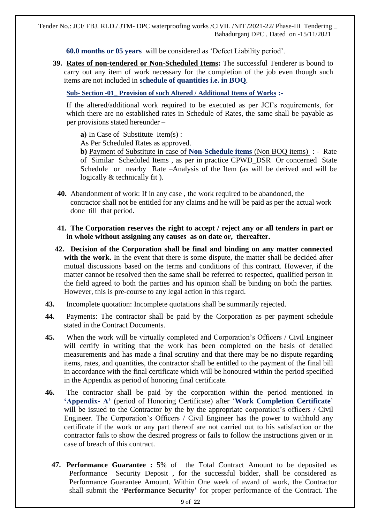**60.0 months or 05 years** will be considered as 'Defect Liability period'.

**39. Rates of non-tendered or Non-Scheduled Items:** The successful Tenderer is bound to carry out any item of work necessary for the completion of the job even though such items are not included in **schedule of quantities i.e. in BOQ**.

**Sub- Section -01\_ Provision of such Altered / Additional Items of Works :-**

If the altered/additional work required to be executed as per JCI's requirements, for which there are no established rates in Schedule of Rates, the same shall be payable as per provisions stated hereunder –

**a)** In Case of Substitute Item(s) :

As Per Scheduled Rates as approved.

**b)** Payment of Substitute in case of **Non-Schedule items** (Non BOQ items) : - Rate of Similar Scheduled Items , as per in practice CPWD\_DSR Or concerned State Schedule or nearby Rate –Analysis of the Item (as will be derived and will be logically  $&$  technically fit  $).$ 

- **40.** Abandonment of work: If in any case , the work required to be abandoned, the contractor shall not be entitled for any claims and he will be paid as per the actual work done till that period.
- **41. The Corporation reserves the right to accept / reject any or all tenders in part or in whole without assigning any causes as on date or, thereafter.**
- **42. Decision of the Corporation shall be final and binding on any matter connected with the work.** In the event that there is some dispute, the matter shall be decided after mutual discussions based on the terms and conditions of this contract. However, if the matter cannot be resolved then the same shall be referred to respected, qualified person in the field agreed to both the parties and his opinion shall be binding on both the parties. However, this is pre-course to any legal action in this regard.
- **43.** Incomplete quotation: Incomplete quotations shall be summarily rejected.
- **44.** Payments: The contractor shall be paid by the Corporation as per payment schedule stated in the Contract Documents.
- **45.** When the work will be virtually completed and Corporation's Officers / Civil Engineer will certify in writing that the work has been completed on the basis of detailed measurements and has made a final scrutiny and that there may be no dispute regarding items, rates, and quantities, the contractor shall be entitled to the payment of the final bill in accordance with the final certificate which will be honoured within the period specified in the Appendix as period of honoring final certificate.
- **46.** The contractor shall be paid by the corporation within the period mentioned in **'Appendix- A'** (period of Honoring Certificate) after '**Work Completion Certificate**' will be issued to the Contractor by the by the appropriate corporation's officers / Civil Engineer. The Corporation's Officers / Civil Engineer has the power to withhold any certificate if the work or any part thereof are not carried out to his satisfaction or the contractor fails to show the desired progress or fails to follow the instructions given or in case of breach of this contract.
	- **47. Performance Guarantee :** 5% of the Total Contract Amount to be deposited as Performance Security Deposit , for the successful bidder, shall be considered as Performance Guarantee Amount. Within One week of award of work, the Contractor shall submit the **'Performance Security'** for proper performance of the Contract. The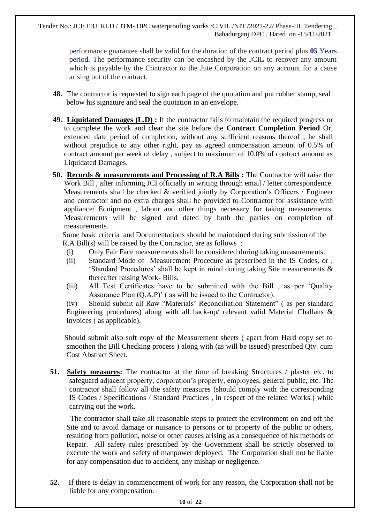performance guarantee shall be valid for the duration of the contract period plus **05** Years period. The performance security can be encashed by the JCIL to recover any amount which is payable by the Contractor to the Jute Corporation on any account for a cause arising out of the contract.

- **48.** The contractor is requested to sign each page of the quotation and put rubber stamp, seal below his signature and seal the quotation in an envelope.
- **49. Liquidated Damages (L.D) :** If the contractor fails to maintain the required progress or to complete the work and clear the site before the **Contract Completion Period** Or, extended date period of completion, without any sufficient reasons thereof , he shall without prejudice to any other right, pay as agreed compensation amount of 0.5% of contract amount per week of delay , subject to maximum of 10.0% of contract amount as Liquidated Damages.
- **50. Records & measurements and Processing of R.A Bills :** The Contractor will raise the Work Bill , after informing JCI officially in writing through email / letter correspondence. Measurements shall be checked & verified jointly by Corporation's Officers / Engineer and contractor and no extra charges shall be provided to Contractor for assistance with appliance/ Equipment , labour and other things necessary for taking measurements. Measurements will be signed and dated by both the parties on completion of measurements.

 Some basic criteria and Documentations should be maintained during submission of the R.A Bill(s) will be raised by the Contractor, are as follows :

- (i) Only Fair Face measurements shall be considered during taking measurements.
- (ii) Standard Mode of Measurement Procedure as prescribed in the IS Codes, or , 'Standard Procedures' shall be kept in mind during taking Site measurements & thereafter raising Work- Bills.
- (iii) All Test Certificates have to be submitted with the Bill , as per 'Quality Assurance Plan (Q.A.P)' ( as will be issued to the Contractor).

(iv) Should submit all Raw "Materials' Reconciliation Statement" ( as per standard Engineering procedures) along with all back-up/ relevant valid Material Challans & Invoices ( as applicable).

 Should submit also soft copy of the Measurement sheets ( apart from Hard copy set to smoothen the Bill Checking process ) along with (as will be issued) prescribed Qty. cum Cost Abstract Sheet.

**51. Safety measures:** The contractor at the time of breaking Structures / plaster etc. to safeguard adjacent property, corporation's property, employees, general public, etc. The contractor shall follow all the safety measures (should comply with the corresponding IS Codes / Specifications / Standard Practices , in respect of the related Works.) while carrying out the work.

 The contractor shall take all reasonable steps to protect the environment on and off the Site and to avoid damage or nuisance to persons or to property of the public or others, resulting from pollution, noise or other causes arising as a consequence of his methods of Repair. All safety rules prescribed by the Government shall be strictly observed to execute the work and safety of manpower deployed. The Corporation shall not be liable for any compensation due to accident, any mishap or negligence.

**52.** If there is delay in commencement of work for any reason, the Corporation shall not be liable for any compensation.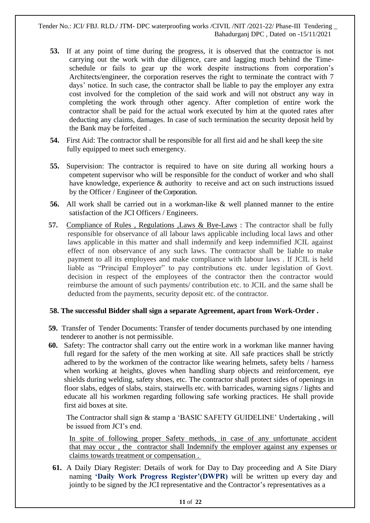- **53.** If at any point of time during the progress, it is observed that the contractor is not carrying out the work with due diligence, care and lagging much behind the Timeschedule or fails to gear up the work despite instructions from corporation's Architects/engineer, the corporation reserves the right to terminate the contract with 7 days' notice. In such case, the contractor shall be liable to pay the employer any extra cost involved for the completion of the said work and will not obstruct any way in completing the work through other agency. After completion of entire work the contractor shall be paid for the actual work executed by him at the quoted rates after deducting any claims, damages. In case of such termination the security deposit held by the Bank may be forfeited .
- **54.** First Aid: The contractor shall be responsible for all first aid and he shall keep the site fully equipped to meet such emergency.
- **55.** Supervision: The contractor is required to have on site during all working hours a competent supervisor who will be responsible for the conduct of worker and who shall have knowledge, experience & authority to receive and act on such instructions issued by the Officer / Engineer of the Corporation.
- **56.** All work shall be carried out in a workman-like & well planned manner to the entire satisfaction of the JCI Officers / Engineers.
- **57.** Compliance of Rules , Regulations ,Laws & Bye-Laws : The contractor shall be fully responsible for observance of all labour laws applicable including local laws and other laws applicable in this matter and shall indemnify and keep indemnified JCIL against effect of non observance of any such laws. The contractor shall be liable to make payment to all its employees and make compliance with labour laws . If JCIL is held liable as "Principal Employer" to pay contributions etc. under legislation of Govt. decision in respect of the employees of the contractor then the contractor would reimburse the amount of such payments/ contribution etc. to JCIL and the same shall be deducted from the payments, security deposit etc. of the contractor.

#### **58. The successful Bidder shall sign a separate Agreement, apart from Work-Order .**

- **59.** Transfer of Tender Documents: Transfer of tender documents purchased by one intending tenderer to another is not permissible.
- **60.** Safety: The contractor shall carry out the entire work in a workman like manner having full regard for the safety of the men working at site. All safe practices shall be strictly adhered to by the workmen of the contractor like wearing helmets, safety belts / harness when working at heights, gloves when handling sharp objects and reinforcement, eye shields during welding, safety shoes, etc. The contractor shall protect sides of openings in floor slabs, edges of slabs, stairs, stairwells etc. with barricades, warning signs / lights and educate all his workmen regarding following safe working practices. He shall provide first aid boxes at site.

The Contractor shall sign & stamp a 'BASIC SAFETY GUIDELINE' Undertaking , will be issued from JCI's end.

In spite of following proper Safety methods, in case of any unfortunate accident that may occur , the contractor shall Indemnify the employer against any expenses or claims towards treatment or compensation .

**61.** A Daily Diary Register: Details of work for Day to Day proceeding and A Site Diary naming **'Daily Work Progress Register'(DWPR)** will be written up every day and jointly to be signed by the JCI representative and the Contractor's representatives as a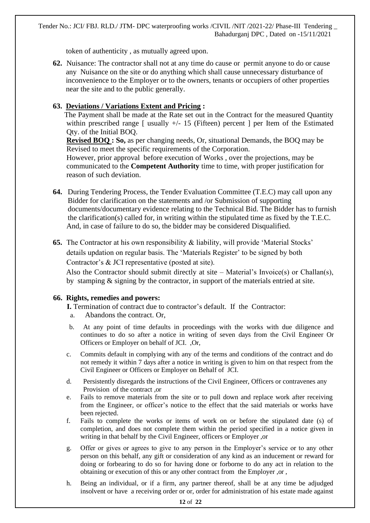token of authenticity , as mutually agreed upon.

**62.** Nuisance: The contractor shall not at any time do cause or permit anyone to do or cause any Nuisance on the site or do anything which shall cause unnecessary disturbance of inconvenience to the Employer or to the owners, tenants or occupiers of other properties near the site and to the public generally.

### **63. Deviations / Variations Extent and Pricing :**

 The Payment shall be made at the Rate set out in the Contract for the measured Quantity within prescribed range  $\lceil$  usually  $+/- 15$  (Fifteen) percent  $\lceil$  per Item of the Estimated Qty. of the Initial BOQ.

 **Revised BOQ : So,** as per changing needs, Or, situational Demands, the BOQ may be Revised to meet the specific requirements of the Corporation.

 However, prior approval before execution of Works , over the projections, may be communicated to the **Competent Authority** time to time, with proper justification for reason of such deviation.

- **64.** During Tendering Process, the Tender Evaluation Committee (T.E.C) may call upon any Bidder for clarification on the statements and /or Submission of supporting documents/documentary evidence relating to the Technical Bid. The Bidder has to furnish the clarification(s) called for, in writing within the stipulated time as fixed by the T.E.C. And, in case of failure to do so, the bidder may be considered Disqualified.
- **65.** The Contractor at his own responsibility & liability, will provide 'Material Stocks' details updation on regular basis. The 'Materials Register' to be signed by both

Contractor's & JCI representative (posted at site).

 Also the Contractor should submit directly at site – Material's Invoice(s) or Challan(s), by stamping & signing by the contractor, in support of the materials entried at site.

### **66. Rights, remedies and powers:**

**I.** Termination of contract due to contractor's default. If the Contractor:

- a. Abandons the contract. Or,
- b. At any point of time defaults in proceedings with the works with due diligence and continues to do so after a notice in writing of seven days from the Civil Engineer Or Officers or Employer on behalf of JCI. ,Or,
- c. Commits default in complying with any of the terms and conditions of the contract and do not remedy it within 7 days after a notice in writing is given to him on that respect from the Civil Engineer or Officers or Employer on Behalf of JCI.
- d. Persistently disregards the instructions of the Civil Engineer, Officers or contravenes any Provision of the contract ,or
- e. Fails to remove materials from the site or to pull down and replace work after receiving from the Engineer, or officer's notice to the effect that the said materials or works have been rejected.
- f. Fails to complete the works or items of work on or before the stipulated date (s) of completion, and does not complete them within the period specified in a notice given in writing in that behalf by the Civil Engineer, officers or Employer ,or
- g. Offer or gives or agrees to give to any person in the Employer's service or to any other person on this behalf, any gift or consideration of any kind as an inducement or reward for doing or forbearing to do so for having done or forborne to do any act in relation to the obtaining or execution of this or any other contract from the Employer ,or ,
- h. Being an individual, or if a firm, any partner thereof, shall be at any time be adjudged insolvent or have a receiving order or or, order for administration of his estate made against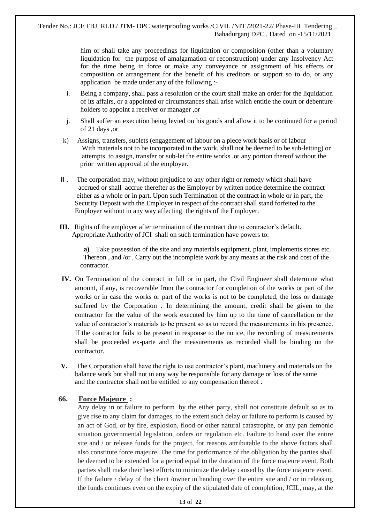him or shall take any proceedings for liquidation or composition (other than a voluntary liquidation for the purpose of amalgamation or reconstruction) under any Insolvency Act for the time being in force or make any conveyance or assignment of his effects or composition or arrangement for the benefit of his creditors or support so to do, or any application be made under any of the following :-

- i. Being a company, shall pass a resolution or the court shall make an order for the liquidation of its affairs, or a appointed or circumstances shall arise which entitle the court or debenture holders to appoint a receiver or manager ,or
- j. Shall suffer an execution being levied on his goods and allow it to be continued for a period of 21 days ,or
- k) Assigns, transfers, sublets (engagement of labour on a piece work basis or of labour With materials not to be incorporated in the work, shall not be deemed to be sub-letting) or attempts to assign, transfer or sub-let the entire works ,or any portion thereof without the prior written approval of the employer.
- **II** . The corporation may, without prejudice to any other right or remedy which shall have accrued or shall accrue therefter as the Employer by written notice determine the contract either as a whole or in part. Upon such Termination of the contract in whole or in part, the Security Deposit with the Employer in respect of the contract shall stand forfeited to the Employer without in any way affecting the rights of the Employer.
- **III.** Rights of the employer after termination of the contract due to contractor's default. Appropriate Authority of JCI shall on such termination have powers to:

**a)** Take possession of the site and any materials equipment, plant, implements stores etc. Thereon , and /or , Carry out the incomplete work by any means at the risk and cost of the contractor.

- **IV.** On Termination of the contract in full or in part, the Civil Engineer shall determine what amount, if any, is recoverable from the contractor for completion of the works or part of the works or in case the works or part of the works is not to be completed, the loss or damage suffered by the Corporation . In determining the amount, credit shall be given to the contractor for the value of the work executed by him up to the time of cancellation or the value of contractor's materials to be present so as to record the measurements in his presence. If the contractor fails to be present in response to the notice, the recording of measurements shall be proceeded ex-parte and the measurements as recorded shall be binding on the contractor.
- **V.** The Corporation shall have the right to use contractor's plant, machinery and materials on the balance work but shall not in any way be responsible for any damage or loss of the same and the contractor shall not be entitled to any compensation thereof .

### **66. Force Majeure :**

Any delay in or failure to perform by the either party, shall not constitute default so as to give rise to any claim for damages, to the extent such delay or failure to perform is caused by an act of God, or by fire, explosion, flood or other natural catastrophe, or any pan demonic situation governmental legislation, orders or regulation etc. Failure to hand over the entire site and / or release funds for the project, for reasons attributable to the above factors shall also constitute force majeure. The time for performance of the obligation by the parties shall be deemed to be extended for a period equal to the duration of the force majeure event. Both parties shall make their best efforts to minimize the delay caused by the force majeure event. If the failure / delay of the client /owner in handing over the entire site and / or in releasing the funds continues even on the expiry of the stipulated date of completion, JCIL, may, at the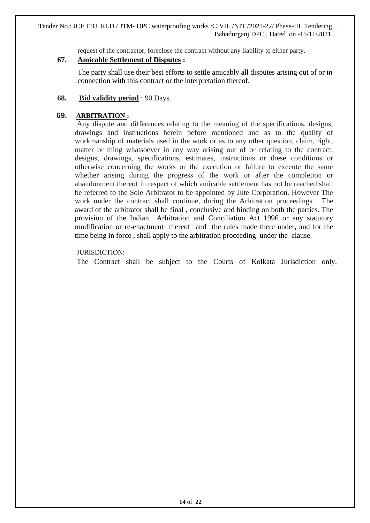request of the contractor, foreclose the contract without any liability to either party.

### **67. Amicable Settlement of Disputes :**

 The party shall use their best efforts to settle amicably all disputes arising out of or in connection with this contract or the interpretation thereof.

**68. Bid validity period** : 90 Days.

### **69. ARBITRATION :**

Any dispute and differences relating to the meaning of the specifications, designs, drawings and instructions herein before mentioned and as to the quality of workmanship of materials used in the work or as to any other question, claim, right, matter or thing whatsoever in any way arising out of or relating to the contract, designs, drawings, specifications, estimates, instructions or these conditions or otherwise concerning the works or the execution or failure to execute the same whether arising during the progress of the work or after the completion or abandonment thereof in respect of which amicable settlement has not be reached shall be referred to the Sole Arbitrator to be appointed by Jute Corporation. However The work under the contract shall continue, during the Arbitration proceedings. The award of the arbitrator shall be final , conclusive and binding on both the parties. The provision of the Indian Arbitration and Conciliation Act 1996 or any statutory modification or re-enactment thereof and the rules made there under, and for the time being in force , shall apply to the arbitration proceeding under the clause.

### JURISDICTION:

The Contract shall be subject to the Courts of Kolkata Jurisdiction only.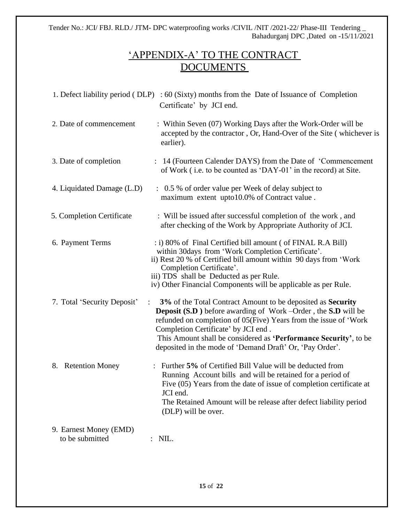## 'APPENDIX-A' TO THE CONTRACT DOCUMENTS

|                                           | 1. Defect liability period (DLP) : $60$ (Sixty) months from the Date of Issuance of Completion<br>Certificate' by JCI end.                                                                                                                                                                                                                                                            |
|-------------------------------------------|---------------------------------------------------------------------------------------------------------------------------------------------------------------------------------------------------------------------------------------------------------------------------------------------------------------------------------------------------------------------------------------|
| 2. Date of commencement                   | : Within Seven (07) Working Days after the Work-Order will be<br>accepted by the contractor, Or, Hand-Over of the Site (whichever is<br>earlier).                                                                                                                                                                                                                                     |
| 3. Date of completion                     | : 14 (Fourteen Calender DAYS) from the Date of 'Commencement<br>of Work (i.e. to be counted as 'DAY-01' in the record) at Site.                                                                                                                                                                                                                                                       |
| 4. Liquidated Damage (L.D)                | : 0.5 % of order value per Week of delay subject to<br>maximum extent upto10.0% of Contract value.                                                                                                                                                                                                                                                                                    |
| 5. Completion Certificate                 | : Will be issued after successful completion of the work, and<br>after checking of the Work by Appropriate Authority of JCI.                                                                                                                                                                                                                                                          |
| 6. Payment Terms                          | : i) 80% of Final Certified bill amount ( of FINAL R.A Bill)<br>within 30 days from 'Work Completion Certificate'.<br>ii) Rest 20 % of Certified bill amount within 90 days from 'Work<br>Completion Certificate'.<br>iii) TDS shall be Deducted as per Rule.<br>iv) Other Financial Components will be applicable as per Rule.                                                       |
| 7. Total 'Security Deposit'               | 3% of the Total Contract Amount to be deposited as Security<br><b>Deposit (S.D)</b> before awarding of Work –Order, the <b>S.D</b> will be<br>refunded on completion of 05(Five) Years from the issue of 'Work<br>Completion Certificate' by JCI end.<br>This Amount shall be considered as 'Performance Security', to be<br>deposited in the mode of 'Demand Draft' Or, 'Pay Order'. |
| 8. Retention Money                        | : Further 5% of Certified Bill Value will be deducted from<br>Running Account bills and will be retained for a period of<br>Five (05) Years from the date of issue of completion certificate at<br>JCI end.<br>The Retained Amount will be release after defect liability period<br>(DLP) will be over.                                                                               |
| 9. Earnest Money (EMD)<br>to be submitted | $:$ NIL.                                                                                                                                                                                                                                                                                                                                                                              |
|                                           |                                                                                                                                                                                                                                                                                                                                                                                       |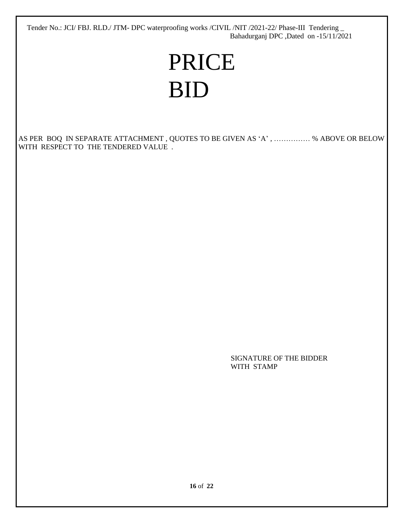# PRICE BID

AS PER BOQ IN SEPARATE ATTACHMENT , QUOTES TO BE GIVEN AS 'A' , …………… % ABOVE OR BELOW WITH RESPECT TO THE TENDERED VALUE .

> SIGNATURE OF THE BIDDER WITH STAMP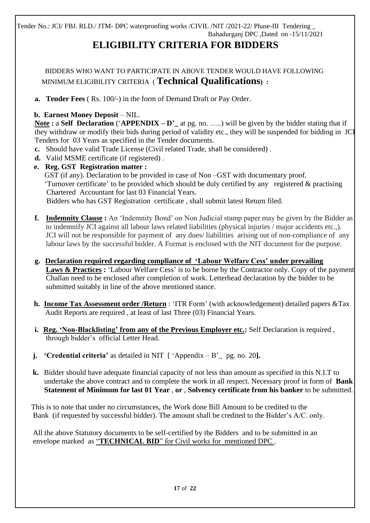# **ELIGIBILITY CRITERIA FOR BIDDERS**

 BIDDERS WHO WANT TO PARTICIPATE IN ABOVE TENDER WOULD HAVE FOLLOWING MINIMUM ELIGIBILITY CRITERIA ( **Technical Qualifications) :** 

**a. Tender Fees** ( Rs. 100/-) in the form of Demand Draft or Pay Order.

### **b. Earnest Money Deposit** – NIL.

**Note :** a **Self Declaration** ('**APPENDIX – D'\_** at pg. no. …..) will be given by the bidder stating that if they withdraw or modify their bids during period of validity etc., they will be suspended for bidding in JCI Tenders for 03 Years as specified in the Tender documents.

- **c.** Should have valid Trade License (Civil related Trade, shall be considered) .
- **d.** Valid MSME certificate (if registered) .
- **e. Reg. GST Registration matter :**  GST (if any). Declaration to be provided in case of Non –GST with documentary proof. 'Turnover certificate' to be provided which should be duly certified by any registered & practising Chartered Accountant for last 03 Financial Years.

Bidders who has GST Registration certificate , shall submit latest Return filed.

- **f. Indemnity Clause :** An 'Indemnity Bond' on Non Judicial stamp paper may be given by the Bidder as to indemnify JCI against all labour laws related liabilities (physical injuries / major accidents etc.,). JCI will not be responsible for payment of any dues/ liabilities arising out of non-compliance of any labour laws by the successful bidder. A Format is enclosed with the NIT document for the purpose.
- **g. Declaration required regarding compliance of 'Labour Welfare Cess' under prevailing Laws & Practices :** 'Labour Welfare Cess' is to be borne by the Contractor only. Copy of the payment Challan need to be enclosed after completion of work. Letterhead declaration by the bidder to be submitted suitably in line of the above mentioned stance.
- **h. Income Tax Assessment order /Return** : 'ITR Form' (with acknowledgement) detailed papers &Tax Audit Reports are required , at least of last Three (03) Financial Years.
- **i. Reg. 'Non-Blacklisting' from any of the Previous Employer etc.:** Self Declaration is required , through bidder's official Letter Head.
- **j. 'Credential criteria'** as detailed in NIT [ 'Appendix B'\_ pg. no. 20**].**
- **k.** Bidder should have adequate financial capacity of not less than amount as specified in this N.I.T to undertake the above contract and to complete the work in all respect. Necessary proof in form of **Bank Statement of Minimum for last 01 Year** , **or** , **Solvency certificate from his banker** to be submitted.

 This is to note that under no circumstances, the Work done Bill Amount to be credited to the Bank (if requested by successful bidder). The amount shall be credited to the Bidder's A/C. only.

 All the above Statutory documents to be self-certified by the Bidders and to be submitted in an envelope marked as "**TECHNICAL BID**" for Civil works for mentioned DPC .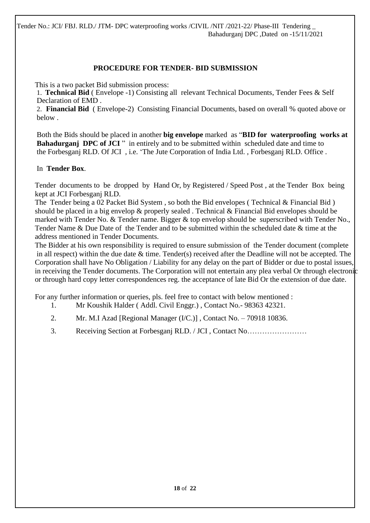### **PROCEDURE FOR TENDER- BID SUBMISSION**

This is a two packet Bid submission process:

1. **Technical Bid** ( Envelope -1) Consisting all relevant Technical Documents, Tender Fees & Self Declaration of EMD .

2. **Financial Bid** ( Envelope-2) Consisting Financial Documents, based on overall % quoted above or below .

 Both the Bids should be placed in another **big envelope** marked as "**BID for waterproofing works at Bahadurganj DPC of JCI** " in entirely and to be submitted within scheduled date and time to the Forbesganj RLD. Of JCI , i.e. 'The Jute Corporation of India Ltd. , Forbesganj RLD. Office .

### In **Tender Box**.

 Tender documents to be dropped by Hand Or, by Registered / Speed Post , at the Tender Box being kept at JCI Forbesganj RLD.

The Tender being a 02 Packet Bid System , so both the Bid envelopes ( Technical & Financial Bid ) should be placed in a big envelop & properly sealed . Technical & Financial Bid envelopes should be marked with Tender No. & Tender name. Bigger & top envelop should be superscribed with Tender No., Tender Name & Due Date of the Tender and to be submitted within the scheduled date & time at the address mentioned in Tender Documents.

 The Bidder at his own responsibility is required to ensure submission of the Tender document (complete in all respect) within the due date & time. Tender(s) received after the Deadline will not be accepted. The Corporation shall have No Obligation / Liability for any delay on the part of Bidder or due to postal issues, in receiving the Tender documents. The Corporation will not entertain any plea verbal Or through electronic or through hard copy letter correspondences reg. the acceptance of late Bid Or the extension of due date.

For any further information or queries, pls. feel free to contact with below mentioned :

- 1. Mr Koushik Halder ( Addl. Civil Enggr.) , Contact No.- 98363 42321.
- 2. Mr. M.I Azad [Regional Manager (I/C.)] , Contact No. 70918 10836.
- 3. Receiving Section at Forbesganj RLD. / JCI , Contact No……………………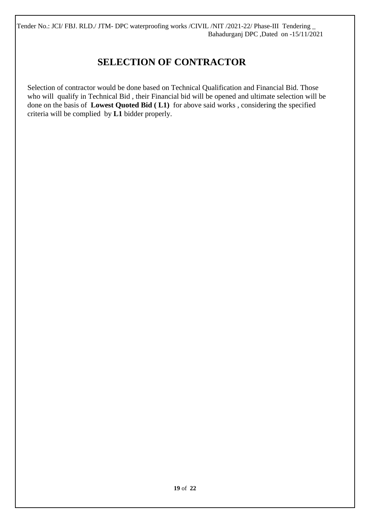## **SELECTION OF CONTRACTOR**

 Selection of contractor would be done based on Technical Qualification and Financial Bid. Those who will qualify in Technical Bid , their Financial bid will be opened and ultimate selection will be done on the basis of **Lowest Quoted Bid ( L1)** for above said works , considering the specified criteria will be complied by **L1** bidder properly.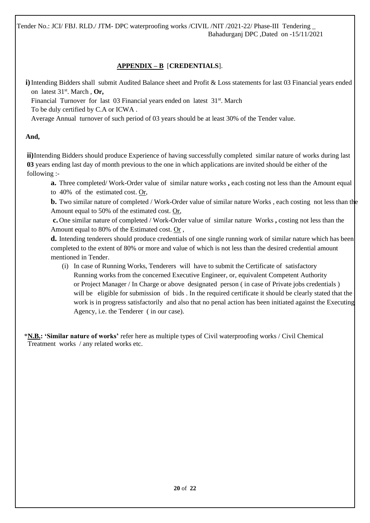### **APPENDIX – B** [**CREDENTIALS**].

**i)**Intending Bidders shall submit Audited Balance sheet and Profit & Loss statements for last 03 Financial years ended on latest 31st. March , **Or,** 

Financial Turnover for last 03 Financial years ended on latest 31<sup>st</sup>. March To be duly certified by C.A or ICWA .

Average Annual turnover of such period of 03 years should be at least 30% of the Tender value.

### **And,**

**ii)**Intending Bidders should produce Experience of having successfully completed similar nature of works during last **03** years ending last day of month previous to the one in which applications are invited should be either of the following :-

**a.** Three completed/ Work-Order value of similar nature works, each costing not less than the Amount equal to 40% of the estimated cost.  $Or$ ,

**b.** Two similar nature of completed / Work-Order value of similar nature Works, each costing not less than the Amount equal to 50% of the estimated cost. Or,

**c.** One similar nature of completed / Work-Order value of similar nature Works **,** costing not less than the Amount equal to 80% of the Estimated cost. Or ,

**d.** Intending tenderers should produce credentials of one single running work of similar nature which has been completed to the extent of 80% or more and value of which is not less than the desired credential amount mentioned in Tender.

(i) In case of Running Works, Tenderers will have to submit the Certificate of satisfactory Running works from the concerned Executive Engineer, or, equivalent Competent Authority or Project Manager / In Charge or above designated person ( in case of Private jobs credentials ) will be eligible for submission of bids. In the required certificate it should be clearly stated that the work is in progress satisfactorily and also that no penal action has been initiated against the Executing Agency, i.e. the Tenderer ( in our case).

 \***N.B.: 'Similar nature of works'** refer here as multiple types of Civil waterproofing works / Civil Chemical Treatment works / any related works etc.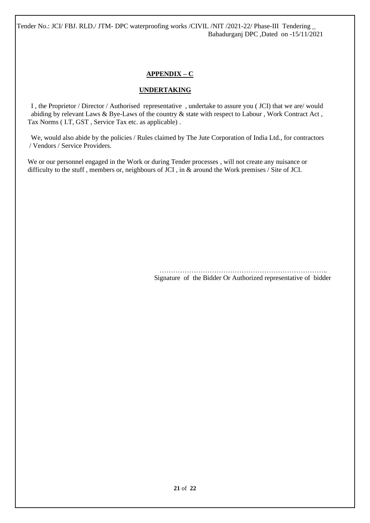### **APPENDIX – C**

### **UNDERTAKING**

 I , the Proprietor / Director / Authorised representative , undertake to assure you ( JCI) that we are/ would abiding by relevant Laws & Bye-Laws of the country & state with respect to Labour , Work Contract Act , Tax Norms ( I.T, GST , Service Tax etc. as applicable) .

 We, would also abide by the policies / Rules claimed by The Jute Corporation of India Ltd., for contractors / Vendors / Service Providers.

We or our personnel engaged in the Work or during Tender processes, will not create any nuisance or difficulty to the stuff , members or, neighbours of JCI , in & around the Work premises / Site of JCI.

> ……………………………………………………………….. Signature of the Bidder Or Authorized representative of bidder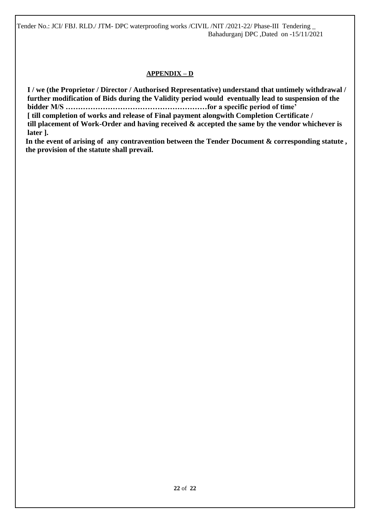### **APPENDIX – D**

 **I / we (the Proprietor / Director / Authorised Representative) understand that untimely withdrawal / further modification of Bids during the Validity period would eventually lead to suspension of the bidder M/S …………………………………………………for a specific period of time'** 

 **[ till completion of works and release of Final payment alongwith Completion Certificate /** 

 **till placement of Work-Order and having received & accepted the same by the vendor whichever is later ].** 

 **In the event of arising of any contravention between the Tender Document & corresponding statute , the provision of the statute shall prevail.**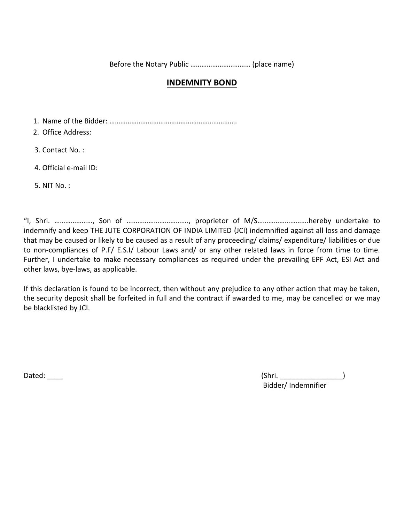Before the Notary Public …………………………… (place name)

### **INDEMNITY BOND**

1. Name of the Bidder: …………………………………………………………….

2. Office Address:

3. Contact No. :

4. Official e-mail ID:

5. NIT No. :

"I, Shri. …………………, Son of ……………………………., proprietor of M/S……………………….hereby undertake to indemnify and keep THE JUTE CORPORATION OF INDIA LIMITED (JCI) indemnified against all loss and damage that may be caused or likely to be caused as a result of any proceeding/ claims/ expenditure/ liabilities or due to non-compliances of P.F/ E.S.I/ Labour Laws and/ or any other related laws in force from time to time. Further, I undertake to make necessary compliances as required under the prevailing EPF Act, ESI Act and other laws, bye-laws, as applicable.

If this declaration is found to be incorrect, then without any prejudice to any other action that may be taken, the security deposit shall be forfeited in full and the contract if awarded to me, may be cancelled or we may be blacklisted by JCI.

Dated: \_\_\_\_ (Shri. \_\_\_\_\_\_\_\_\_\_\_\_\_\_\_\_) Bidder/ Indemnifier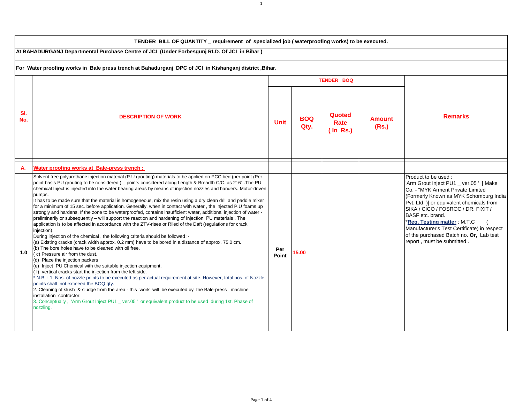| TENDER BILL OF QUANTITY _ requirement of specialized job (waterproofing works) to be executed.         |                                                                                                                                                                                                                                                                                                                                                                                                                                                                                                                                                                                                                                                                                                                                                                                                                                                                                                                                                                                                                                                                                                                                                                                                                                                                                                                                                                                                                                                                                                                                                                                                                                                                                                                                                                                                                                           |                   |                    |                               |                        |                                                                                                                                                                                                                                                                                                                                                                                                             |
|--------------------------------------------------------------------------------------------------------|-------------------------------------------------------------------------------------------------------------------------------------------------------------------------------------------------------------------------------------------------------------------------------------------------------------------------------------------------------------------------------------------------------------------------------------------------------------------------------------------------------------------------------------------------------------------------------------------------------------------------------------------------------------------------------------------------------------------------------------------------------------------------------------------------------------------------------------------------------------------------------------------------------------------------------------------------------------------------------------------------------------------------------------------------------------------------------------------------------------------------------------------------------------------------------------------------------------------------------------------------------------------------------------------------------------------------------------------------------------------------------------------------------------------------------------------------------------------------------------------------------------------------------------------------------------------------------------------------------------------------------------------------------------------------------------------------------------------------------------------------------------------------------------------------------------------------------------------|-------------------|--------------------|-------------------------------|------------------------|-------------------------------------------------------------------------------------------------------------------------------------------------------------------------------------------------------------------------------------------------------------------------------------------------------------------------------------------------------------------------------------------------------------|
| At BAHADURGANJ Departmental Purchase Centre of JCI (Under Forbesgunj RLD. Of JCI in Bihar)             |                                                                                                                                                                                                                                                                                                                                                                                                                                                                                                                                                                                                                                                                                                                                                                                                                                                                                                                                                                                                                                                                                                                                                                                                                                                                                                                                                                                                                                                                                                                                                                                                                                                                                                                                                                                                                                           |                   |                    |                               |                        |                                                                                                                                                                                                                                                                                                                                                                                                             |
| For Water proofing works in Bale press trench at Bahadurganj DPC of JCI in Kishanganj district, Bihar. |                                                                                                                                                                                                                                                                                                                                                                                                                                                                                                                                                                                                                                                                                                                                                                                                                                                                                                                                                                                                                                                                                                                                                                                                                                                                                                                                                                                                                                                                                                                                                                                                                                                                                                                                                                                                                                           |                   |                    |                               |                        |                                                                                                                                                                                                                                                                                                                                                                                                             |
|                                                                                                        |                                                                                                                                                                                                                                                                                                                                                                                                                                                                                                                                                                                                                                                                                                                                                                                                                                                                                                                                                                                                                                                                                                                                                                                                                                                                                                                                                                                                                                                                                                                                                                                                                                                                                                                                                                                                                                           | <b>TENDER BOQ</b> |                    |                               |                        |                                                                                                                                                                                                                                                                                                                                                                                                             |
| SI.<br>No.                                                                                             | <b>DESCRIPTION OF WORK</b>                                                                                                                                                                                                                                                                                                                                                                                                                                                                                                                                                                                                                                                                                                                                                                                                                                                                                                                                                                                                                                                                                                                                                                                                                                                                                                                                                                                                                                                                                                                                                                                                                                                                                                                                                                                                                | <b>Unit</b>       | <b>BOQ</b><br>Qty. | Quoted<br>Rate<br>$($ In Rs.) | <b>Amount</b><br>(Rs.) | <b>Remarks</b>                                                                                                                                                                                                                                                                                                                                                                                              |
| А.                                                                                                     | Water proofing works at Bale-press trench :                                                                                                                                                                                                                                                                                                                                                                                                                                                                                                                                                                                                                                                                                                                                                                                                                                                                                                                                                                                                                                                                                                                                                                                                                                                                                                                                                                                                                                                                                                                                                                                                                                                                                                                                                                                               |                   |                    |                               |                        |                                                                                                                                                                                                                                                                                                                                                                                                             |
| 1.0                                                                                                    | Solvent free polyurethane injection material (P.U grouting) materials to be applied on PCC bed (per point (Per<br>point basis PU grouting to be considered ) _ points considered along Length & Breadth C/C. as 2'-6". The PU<br>chemical Inject is injected into the water bearing areas by means of injection nozzles and handers. Motor-driven<br>pumps.<br>It has to be made sure that the material is homogeneous, mix the resin using a dry clean drill and paddle mixer<br>for a minimum of 15 sec. before application. Generally, when in contact with water, the injected P.U foams up<br>strongly and hardens. If the zone to be waterproofed, contains insufficient water, additional injection of water -<br>preliminarily or subsequently - will support the reaction and hardening of Injection PU materials. The<br>application is to be affected in accordance with the ZTV-rises or Riled of the Daft (regulations for crack<br>injection).<br>During injection of the chemical, the following criteria should be followed :-<br>(a) Existing cracks (crack width approx. 0.2 mm) have to be bored in a distance of approx. 75.0 cm.<br>(b) The bore holes have to be cleaned with oil free.<br>(c) Pressure air from the dust.<br>(d) Place the injection packers<br>(e) Inject PU Chemical with the suitable injection equipment.<br>(f) vertical cracks start the injection from the left side.<br>* N.B.: 1. Nos. of nozzle points to be executed as per actual requirement at site. However, total nos. of Nozzle<br>points shall not exceeed the BOQ qty.<br>2. Cleaning of slush & sludge from the area - this work will be executed by the Bale-press machine<br>installation contractor.<br>3. Conceptually, 'Arm Grout Inject PU1 _ ver.05' or equivalent product to be used during 1st. Phase of<br>nozzling. | Per<br>Point      | 15.00              |                               |                        | Product to be used:<br>'Arm Grout Inject PU1 _ ver.05 ' [ Make<br>Co. - "MYK Arment Private Limited<br>(Formerly Known as MYK Schomburg India<br>Pvt. Ltd. )] or equivalent chemicals from<br>SIKA / CICO / FOSROC / DR. FIXIT /<br>BASF etc. brand.<br>*Reg. Testing matter: M.T.C<br>Manufacturer's Test Certificate) in respect<br>of the purchased Batch no. Or, Lab test<br>report, must be submitted. |

1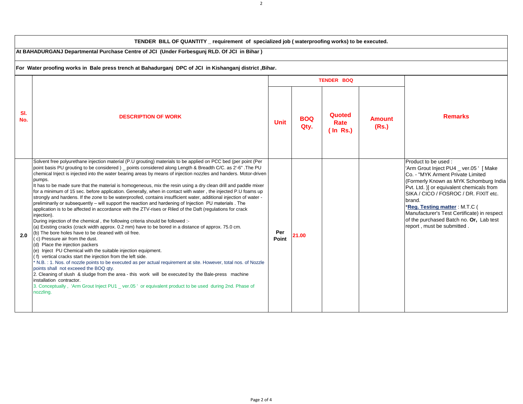|            | TENDER BILL OF QUANTITY requirement of specialized job (waterproofing works) to be executed.                                                                                                                                                                                                                                                                                                                                                                                                                                                                                                                                                                                                                                                                                                                                                                                                                                                                                                                                                                                                                                                                                                                                                                                                                                                                                                                                                                                                                                                                                                                                                                                                                                                                                                                                           |                   |                    |                               |                        |                                                                                                                                                                                                                                                                                                                                                                                                        |  |
|------------|----------------------------------------------------------------------------------------------------------------------------------------------------------------------------------------------------------------------------------------------------------------------------------------------------------------------------------------------------------------------------------------------------------------------------------------------------------------------------------------------------------------------------------------------------------------------------------------------------------------------------------------------------------------------------------------------------------------------------------------------------------------------------------------------------------------------------------------------------------------------------------------------------------------------------------------------------------------------------------------------------------------------------------------------------------------------------------------------------------------------------------------------------------------------------------------------------------------------------------------------------------------------------------------------------------------------------------------------------------------------------------------------------------------------------------------------------------------------------------------------------------------------------------------------------------------------------------------------------------------------------------------------------------------------------------------------------------------------------------------------------------------------------------------------------------------------------------------|-------------------|--------------------|-------------------------------|------------------------|--------------------------------------------------------------------------------------------------------------------------------------------------------------------------------------------------------------------------------------------------------------------------------------------------------------------------------------------------------------------------------------------------------|--|
|            | At BAHADURGANJ Departmental Purchase Centre of JCI (Under Forbesgunj RLD. Of JCI in Bihar)                                                                                                                                                                                                                                                                                                                                                                                                                                                                                                                                                                                                                                                                                                                                                                                                                                                                                                                                                                                                                                                                                                                                                                                                                                                                                                                                                                                                                                                                                                                                                                                                                                                                                                                                             |                   |                    |                               |                        |                                                                                                                                                                                                                                                                                                                                                                                                        |  |
|            | For Water proofing works in Bale press trench at Bahadurganj DPC of JCI in Kishanganj district , Bihar.                                                                                                                                                                                                                                                                                                                                                                                                                                                                                                                                                                                                                                                                                                                                                                                                                                                                                                                                                                                                                                                                                                                                                                                                                                                                                                                                                                                                                                                                                                                                                                                                                                                                                                                                |                   |                    |                               |                        |                                                                                                                                                                                                                                                                                                                                                                                                        |  |
|            |                                                                                                                                                                                                                                                                                                                                                                                                                                                                                                                                                                                                                                                                                                                                                                                                                                                                                                                                                                                                                                                                                                                                                                                                                                                                                                                                                                                                                                                                                                                                                                                                                                                                                                                                                                                                                                        | <b>TENDER BOQ</b> |                    |                               |                        |                                                                                                                                                                                                                                                                                                                                                                                                        |  |
| SI.<br>No. | <b>DESCRIPTION OF WORK</b>                                                                                                                                                                                                                                                                                                                                                                                                                                                                                                                                                                                                                                                                                                                                                                                                                                                                                                                                                                                                                                                                                                                                                                                                                                                                                                                                                                                                                                                                                                                                                                                                                                                                                                                                                                                                             | <b>Unit</b>       | <b>BOQ</b><br>Qty. | Quoted<br>Rate<br>$($ In Rs.) | <b>Amount</b><br>(Rs.) | <b>Remarks</b>                                                                                                                                                                                                                                                                                                                                                                                         |  |
| 2.0        | Solvent free polyurethane injection material (P.U grouting) materials to be applied on PCC bed (per point (Per<br>point basis PU grouting to be considered) _ points considered along Length & Breadth C/C. as 2'-6". The PU<br>chemical Inject is injected into the water bearing areas by means of injection nozzles and handers. Motor-driven<br>pumps.<br>It has to be made sure that the material is homogeneous, mix the resin using a dry clean drill and paddle mixer<br>for a minimum of 15 sec. before application. Generally, when in contact with water, the injected P.U foams up<br>strongly and hardens. If the zone to be waterproofed, contains insufficient water, additional injection of water -<br>preliminarily or subsequently - will support the reaction and hardening of Injection PU materials. The<br>application is to be affected in accordance with the ZTV-rises or Riled of the Daft (regulations for crack<br>injection).<br>During injection of the chemical, the following criteria should be followed :-<br>(a) Existing cracks (crack width approx. 0.2 mm) have to be bored in a distance of approx. 75.0 cm.<br>(b) The bore holes have to be cleaned with oil free.<br>(c) Pressure air from the dust.<br>(d) Place the injection packers<br>(e) Inject PU Chemical with the suitable injection equipment.<br>(f) vertical cracks start the injection from the left side.<br>N.B.: 1. Nos. of nozzle points to be executed as per actual requirement at site. However, total nos. of Nozzle<br>points shall not exceeed the BOQ qty.<br>2. Cleaning of slush & sludge from the area - this work will be executed by the Bale-press machine<br>installation contractor.<br>3. Conceptually, 'Arm Grout Inject PU1 _ ver.05' or equivalent product to be used during 2nd. Phase of<br>nozzling. | Per<br>Point      | 21.00              |                               |                        | Product to be used:<br>'Arm Grout Inject PU4 _ ver.05 ' [ Make<br>Co. - "MYK Arment Private Limited<br>(Formerly Known as MYK Schomburg India<br>Pvt. Ltd. )] or equivalent chemicals from<br>SIKA / CICO / FOSROC / DR. FIXIT etc.<br>brand.<br>*Reg. Testing matter: M.T.C (<br>Manufacturer's Test Certificate) in respect<br>of the purchased Batch no. Or, Lab test<br>report, must be submitted. |  |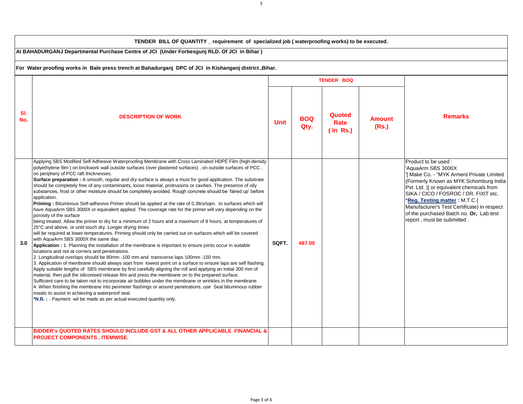|            | TENDER BILL OF QUANTITY _ requirement of specialized job (waterproofing works) to be executed.                                                                                                                                                                                                                                                                                                                                                                                                                                                                                                                                                                                                                                                                                                                                                                                                                                                                                                                                                                                                                                                                                                                                                                                                                                                                                                                                                                                                                                                                                                                                                                                                                                                                                                                                                                                                                                                                                                                                                                                                                                                                                       |             |                    |                               |                        |                                                                                                                                                                                                                                                                                                                                                                                  |  |
|------------|--------------------------------------------------------------------------------------------------------------------------------------------------------------------------------------------------------------------------------------------------------------------------------------------------------------------------------------------------------------------------------------------------------------------------------------------------------------------------------------------------------------------------------------------------------------------------------------------------------------------------------------------------------------------------------------------------------------------------------------------------------------------------------------------------------------------------------------------------------------------------------------------------------------------------------------------------------------------------------------------------------------------------------------------------------------------------------------------------------------------------------------------------------------------------------------------------------------------------------------------------------------------------------------------------------------------------------------------------------------------------------------------------------------------------------------------------------------------------------------------------------------------------------------------------------------------------------------------------------------------------------------------------------------------------------------------------------------------------------------------------------------------------------------------------------------------------------------------------------------------------------------------------------------------------------------------------------------------------------------------------------------------------------------------------------------------------------------------------------------------------------------------------------------------------------------|-------------|--------------------|-------------------------------|------------------------|----------------------------------------------------------------------------------------------------------------------------------------------------------------------------------------------------------------------------------------------------------------------------------------------------------------------------------------------------------------------------------|--|
|            | At BAHADURGANJ Departmental Purchase Centre of JCI (Under Forbesgunj RLD. Of JCI in Bihar)                                                                                                                                                                                                                                                                                                                                                                                                                                                                                                                                                                                                                                                                                                                                                                                                                                                                                                                                                                                                                                                                                                                                                                                                                                                                                                                                                                                                                                                                                                                                                                                                                                                                                                                                                                                                                                                                                                                                                                                                                                                                                           |             |                    |                               |                        |                                                                                                                                                                                                                                                                                                                                                                                  |  |
|            | For Water proofing works in Bale press trench at Bahadurganj DPC of JCI in Kishanganj district Bihar.                                                                                                                                                                                                                                                                                                                                                                                                                                                                                                                                                                                                                                                                                                                                                                                                                                                                                                                                                                                                                                                                                                                                                                                                                                                                                                                                                                                                                                                                                                                                                                                                                                                                                                                                                                                                                                                                                                                                                                                                                                                                                |             |                    |                               |                        |                                                                                                                                                                                                                                                                                                                                                                                  |  |
|            |                                                                                                                                                                                                                                                                                                                                                                                                                                                                                                                                                                                                                                                                                                                                                                                                                                                                                                                                                                                                                                                                                                                                                                                                                                                                                                                                                                                                                                                                                                                                                                                                                                                                                                                                                                                                                                                                                                                                                                                                                                                                                                                                                                                      |             |                    | <b>TENDER BOQ</b>             |                        |                                                                                                                                                                                                                                                                                                                                                                                  |  |
| SI.<br>No. | <b>DESCRIPTION OF WORK</b>                                                                                                                                                                                                                                                                                                                                                                                                                                                                                                                                                                                                                                                                                                                                                                                                                                                                                                                                                                                                                                                                                                                                                                                                                                                                                                                                                                                                                                                                                                                                                                                                                                                                                                                                                                                                                                                                                                                                                                                                                                                                                                                                                           | <b>Unit</b> | <b>BOQ</b><br>Qty. | Quoted<br>Rate<br>$($ In Rs.) | <b>Amount</b><br>(Rs.) | <b>Remarks</b>                                                                                                                                                                                                                                                                                                                                                                   |  |
| 3.0        | Applying SBS Modified Self Adhesive Waterproofing Membrane with Cross Laminated HDPE Film (high-density<br>polyethylene film) on brickwork wall outside surfaces (over plastered surfaces), on outside surfaces of PCC,<br>on periphery of PCC raft thicknesses.<br>Surface preparation : A smooth, regular and dry surface is always a must for good application. The substrate<br>should be completely free of any contaminants, loose material, protrusions or cavities. The presence of oily<br>substances, frost or other moisture should be completely avoided. Rough concrete should be 'faired up' before<br>application.<br>Priming: Bituminous Self-adhesive Primer should be applied at the rate of 0.3ltrs/sqm. to surfaces which will<br>have AquaArm SBS 3000X or equivalent applied. The coverage rate for the primer will vary depending on the<br>porosity of the surface<br>being treated. Allow the primer to dry for a minimum of 2 hours and a maximum of 8 hours, at temperatures of<br>25°C and above, or until touch dry. Longer drying times<br>will be required at lower temperatures. Priming should only be carried out on surfaces which will be covered<br>with AquaArm SBS 3000X the same day.<br>Application : 1. Planning the installation of the membrane is important to ensure joints occur in suitable<br>locations and not at corners and penetrations.<br>2. Longitudinal overlaps should be 80mm -100 mm and transverse laps 100mm -150 mm.<br>3. Application of membrane should always start from lowest point on a surface to ensure laps are self flashing.<br>Apply suitable lengths of SBS membrane by first carefully aligning the roll and applying an initial 300 mm of<br>material, then pull the siliconised release film and press the membrane on to the prepared surface.<br>Sufficient care to be taken not to incorporate air bubbles under the membrane or wrinkles in the membrane.<br>4. When finishing the membrane into perimeter flashings or around penetrations, use Seal bituminous rubber<br>mastic to assist in achieving a waterproof seal.<br>*N.B.: - Payment wil be made as per actual executed quantity only. | SQFT.       | 487.00             |                               |                        | Product to be used:<br>'AquaArm SBS 3000X<br>'[ Make Co. - "MYK Arment Private Limited<br>(Formerly Known as MYK Schomburg India)<br>Pvt. Ltd. )] or equivalent chemicals from<br>SIKA / CICO / FOSROC / DR. FIXIT etc.<br>*Reg. Testing matter: M.T.C (<br>Manufacturer's Test Certificate) in respect<br>of the purchased Batch no. Or, Lab test<br>report, must be submitted. |  |
|            | BIDDER'S QUOTED RATES SHOULD INCLUDE GST & ALL OTHER APPLICABLE FINANCIAL &<br>PROJECT COMPONENTS, ITEMWISE.                                                                                                                                                                                                                                                                                                                                                                                                                                                                                                                                                                                                                                                                                                                                                                                                                                                                                                                                                                                                                                                                                                                                                                                                                                                                                                                                                                                                                                                                                                                                                                                                                                                                                                                                                                                                                                                                                                                                                                                                                                                                         |             |                    |                               |                        |                                                                                                                                                                                                                                                                                                                                                                                  |  |

3